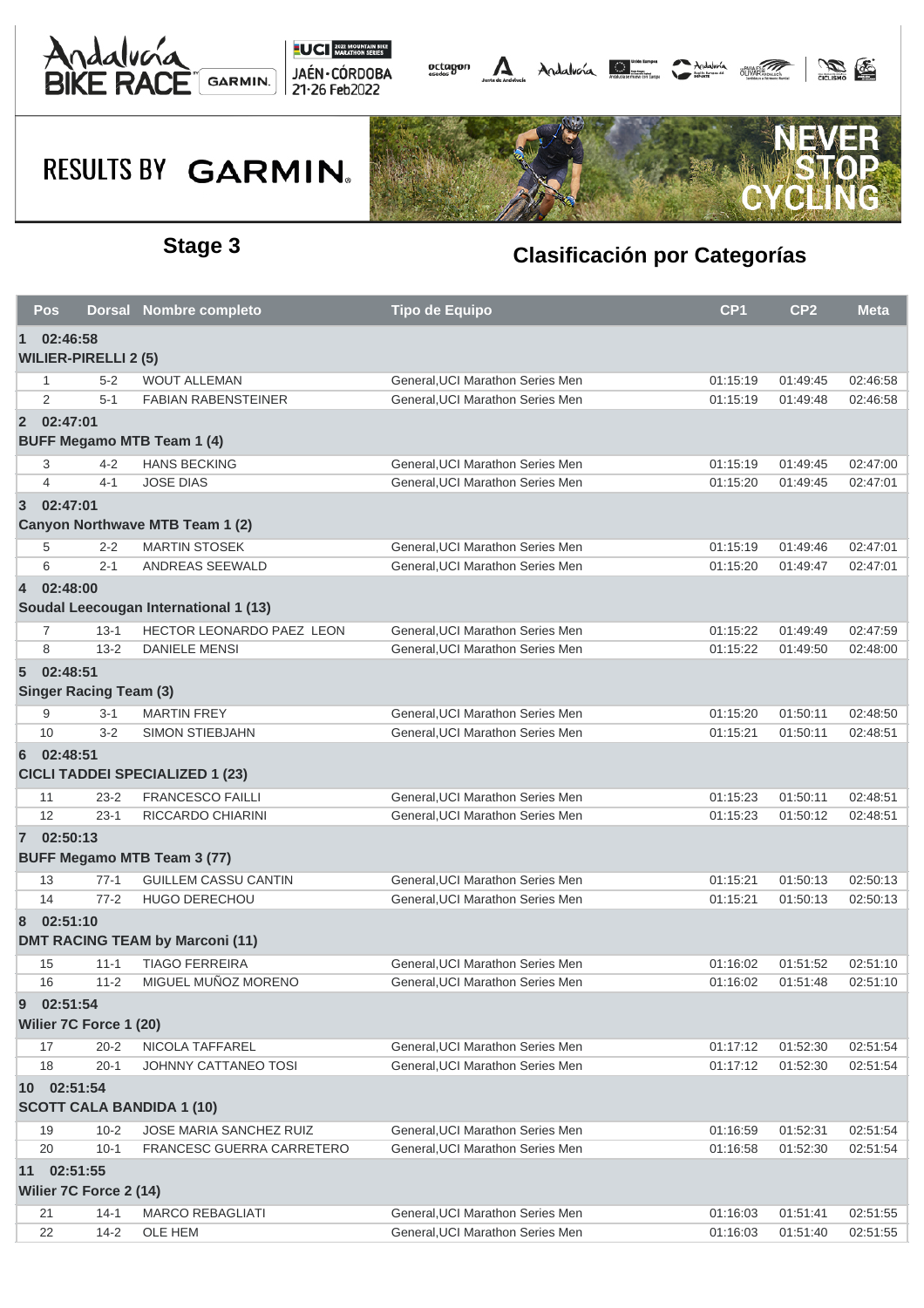





|                | <b>Pos</b>     |                               | Dorsal Nombre completo                 | <b>Tipo de Equipo</b>            | CP <sub>1</sub> | CP <sub>2</sub> | <b>Meta</b> |
|----------------|----------------|-------------------------------|----------------------------------------|----------------------------------|-----------------|-----------------|-------------|
| $\mathbf 1$    | 02:46:58       |                               |                                        |                                  |                 |                 |             |
|                |                | <b>WILIER-PIRELLI 2 (5)</b>   |                                        |                                  |                 |                 |             |
|                | 1              | $5 - 2$                       | <b>WOUT ALLEMAN</b>                    | General, UCI Marathon Series Men | 01:15:19        | 01:49:45        | 02:46:58    |
|                | 2              | $5 - 1$                       | <b>FABIAN RABENSTEINER</b>             | General, UCI Marathon Series Men | 01:15:19        | 01:49:48        | 02:46:58    |
|                | 2 02:47:01     |                               |                                        |                                  |                 |                 |             |
|                |                |                               | <b>BUFF Megamo MTB Team 1 (4)</b>      |                                  |                 |                 |             |
|                | 3              | $4 - 2$                       | <b>HANS BECKING</b>                    | General, UCI Marathon Series Men | 01:15:19        | 01:49:45        | 02:47:00    |
|                | $\overline{4}$ | $4 - 1$                       | <b>JOSE DIAS</b>                       | General, UCI Marathon Series Men | 01:15:20        | 01:49:45        | 02:47:01    |
| $\overline{3}$ | 02:47:01       |                               |                                        |                                  |                 |                 |             |
|                |                |                               | Canyon Northwave MTB Team 1 (2)        |                                  |                 |                 |             |
|                | 5              | $2 - 2$                       | <b>MARTIN STOSEK</b>                   | General, UCI Marathon Series Men | 01:15:19        | 01:49:46        | 02:47:01    |
|                | 6              | $2 - 1$                       | ANDREAS SEEWALD                        | General, UCI Marathon Series Men | 01:15:20        | 01:49:47        | 02:47:01    |
| $\overline{4}$ | 02:48:00       |                               |                                        |                                  |                 |                 |             |
|                |                |                               | Soudal Leecougan International 1 (13)  |                                  |                 |                 |             |
|                | 7              | $13 - 1$                      | <b>HECTOR LEONARDO PAEZ LEON</b>       | General, UCI Marathon Series Men | 01:15:22        | 01:49:49        | 02:47:59    |
|                | 8              | $13 - 2$                      | <b>DANIELE MENSI</b>                   | General, UCI Marathon Series Men | 01:15:22        | 01:49:50        | 02:48:00    |
| $5^{\circ}$    | 02:48:51       |                               |                                        |                                  |                 |                 |             |
|                |                | <b>Singer Racing Team (3)</b> |                                        |                                  |                 |                 |             |
|                | 9              | $3 - 1$                       | <b>MARTIN FREY</b>                     | General, UCI Marathon Series Men | 01:15:20        | 01:50:11        | 02:48:50    |
|                | 10             | $3 - 2$                       | <b>SIMON STIEBJAHN</b>                 | General, UCI Marathon Series Men | 01:15:21        | 01:50:11        | 02:48:51    |
| 6              | 02:48:51       |                               |                                        |                                  |                 |                 |             |
|                |                |                               | <b>CICLI TADDEI SPECIALIZED 1 (23)</b> |                                  |                 |                 |             |
|                | 11             | $23 - 2$                      | <b>FRANCESCO FAILLI</b>                | General, UCI Marathon Series Men | 01:15:23        | 01:50:11        | 02:48:51    |
|                | 12             | $23-1$                        | RICCARDO CHIARINI                      | General, UCI Marathon Series Men | 01:15:23        | 01:50:12        | 02:48:51    |
|                | 7 02:50:13     |                               |                                        |                                  |                 |                 |             |
|                |                |                               | <b>BUFF Megamo MTB Team 3 (77)</b>     |                                  |                 |                 |             |
|                | 13             | $77-1$                        | <b>GUILLEM CASSU CANTIN</b>            | General, UCI Marathon Series Men | 01:15:21        | 01:50:13        | 02:50:13    |
|                | 14             | $77-2$                        | <b>HUGO DERECHOU</b>                   | General.UCI Marathon Series Men  | 01:15:21        | 01:50:13        | 02:50:13    |
| 8              | 02:51:10       |                               |                                        |                                  |                 |                 |             |
|                |                |                               | <b>DMT RACING TEAM by Marconi (11)</b> |                                  |                 |                 |             |
|                | 15             | $11 - 1$                      | <b>TIAGO FERREIRA</b>                  | General, UCI Marathon Series Men | 01:16:02        | 01:51:52        | 02:51:10    |
|                | 16             | $11 - 2$                      | MIGUEL MUÑOZ MORENO                    | General, UCI Marathon Series Men | 01:16:02        | 01:51:48        | 02:51:10    |
| 9              | 02:51:54       |                               |                                        |                                  |                 |                 |             |
|                |                | Wilier 7C Force 1 (20)        |                                        |                                  |                 |                 |             |
|                | 17             | $20 - 2$                      | NICOLA TAFFAREL                        | General, UCI Marathon Series Men | 01:17:12        | 01:52:30        | 02:51:54    |
|                | 18             | $20 - 1$                      | JOHNNY CATTANEO TOSI                   | General, UCI Marathon Series Men | 01:17:12        | 01:52:30        | 02:51:54    |
|                | 10 02:51:54    |                               |                                        |                                  |                 |                 |             |
|                |                |                               | <b>SCOTT CALA BANDIDA 1 (10)</b>       |                                  |                 |                 |             |
|                | 19             | $10 - 2$                      | JOSE MARIA SANCHEZ RUIZ                | General, UCI Marathon Series Men | 01:16:59        | 01:52:31        | 02:51:54    |
|                | 20             | $10 - 1$                      | FRANCESC GUERRA CARRETERO              | General.UCI Marathon Series Men  | 01:16:58        | 01:52:30        | 02:51:54    |
|                | 11 02:51:55    |                               |                                        |                                  |                 |                 |             |
|                |                | Wilier 7C Force 2 (14)        |                                        |                                  |                 |                 |             |
|                | 21             | $14-1$                        | <b>MARCO REBAGLIATI</b>                | General, UCI Marathon Series Men | 01:16:03        | 01:51:41        | 02:51:55    |
|                | 22             | $14 - 2$                      | OLE HEM                                | General, UCI Marathon Series Men | 01:16:03        | 01:51:40        | 02:51:55    |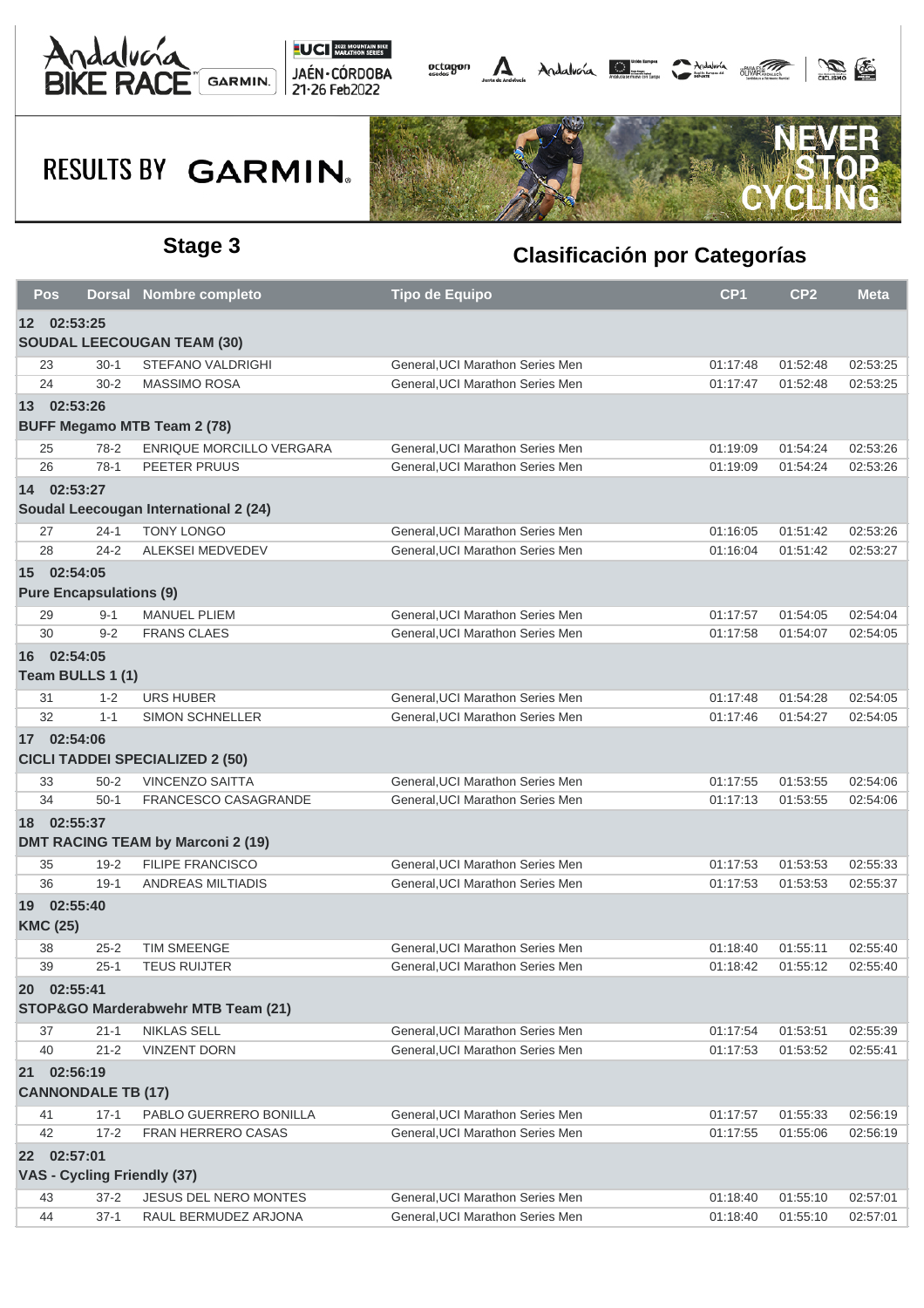





|             | Pos                               |  | <b>Dorsal Nombre completo</b>            | <b>Tipo de Equipo</b>            | CP <sub>1</sub> | CP <sub>2</sub> | <b>Meta</b> |  |  |  |
|-------------|-----------------------------------|--|------------------------------------------|----------------------------------|-----------------|-----------------|-------------|--|--|--|
| 12 02:53:25 |                                   |  |                                          |                                  |                 |                 |             |  |  |  |
|             | <b>SOUDAL LEECOUGAN TEAM (30)</b> |  |                                          |                                  |                 |                 |             |  |  |  |
|             | 23<br>$30-1$                      |  | <b>STEFANO VALDRIGHI</b>                 | General, UCI Marathon Series Men | 01:17:48        | 01:52:48        | 02:53:25    |  |  |  |
|             | 24<br>$30 - 2$                    |  | <b>MASSIMO ROSA</b>                      | General.UCI Marathon Series Men  | 01:17:47        | 01:52:48        | 02:53:25    |  |  |  |
|             | 13 02:53:26                       |  |                                          |                                  |                 |                 |             |  |  |  |
|             |                                   |  | <b>BUFF Megamo MTB Team 2 (78)</b>       |                                  |                 |                 |             |  |  |  |
|             | 25<br>$78-2$                      |  | <b>ENRIQUE MORCILLO VERGARA</b>          | General, UCI Marathon Series Men | 01:19:09        | 01:54:24        | 02:53:26    |  |  |  |
|             | 26<br>$78-1$                      |  | PEETER PRUUS                             | General.UCI Marathon Series Men  | 01:19:09        | 01:54:24        | 02:53:26    |  |  |  |
| 14          | 02:53:27                          |  |                                          |                                  |                 |                 |             |  |  |  |
|             |                                   |  | Soudal Leecougan International 2 (24)    |                                  |                 |                 |             |  |  |  |
|             | $24 - 1$<br>27                    |  | <b>TONY LONGO</b>                        | General, UCI Marathon Series Men | 01:16:05        | 01:51:42        | 02:53:26    |  |  |  |
|             | 28<br>$24 - 2$                    |  | ALEKSEI MEDVEDEV                         | General, UCI Marathon Series Men | 01:16:04        | 01:51:42        | 02:53:27    |  |  |  |
|             | 15 02:54:05                       |  |                                          |                                  |                 |                 |             |  |  |  |
|             | <b>Pure Encapsulations (9)</b>    |  |                                          |                                  |                 |                 |             |  |  |  |
|             | 29<br>$9 - 1$                     |  | <b>MANUEL PLIEM</b>                      | General, UCI Marathon Series Men | 01:17:57        | 01:54:05        | 02:54:04    |  |  |  |
|             | $9 - 2$<br>30                     |  | <b>FRANS CLAES</b>                       | General, UCI Marathon Series Men | 01:17:58        | 01:54:07        | 02:54:05    |  |  |  |
|             | 16 02:54:05                       |  |                                          |                                  |                 |                 |             |  |  |  |
|             | Team BULLS 1 (1)                  |  |                                          |                                  |                 |                 |             |  |  |  |
| 31          | $1 - 2$                           |  | <b>URS HUBER</b>                         | General, UCI Marathon Series Men | 01:17:48        | 01:54:28        | 02:54:05    |  |  |  |
|             | 32<br>$1 - 1$                     |  | <b>SIMON SCHNELLER</b>                   | General, UCI Marathon Series Men | 01:17:46        | 01:54:27        | 02:54:05    |  |  |  |
|             | 17 02:54:06                       |  |                                          |                                  |                 |                 |             |  |  |  |
|             |                                   |  | <b>CICLI TADDEI SPECIALIZED 2 (50)</b>   |                                  |                 |                 |             |  |  |  |
|             | 33<br>$50 - 2$                    |  | <b>VINCENZO SAITTA</b>                   | General, UCI Marathon Series Men | 01:17:55        | 01:53:55        | 02:54:06    |  |  |  |
|             | 34<br>$50-1$                      |  | <b>FRANCESCO CASAGRANDE</b>              | General, UCI Marathon Series Men | 01:17:13        | 01:53:55        | 02:54:06    |  |  |  |
|             | 18 02:55:37                       |  |                                          |                                  |                 |                 |             |  |  |  |
|             |                                   |  | <b>DMT RACING TEAM by Marconi 2 (19)</b> |                                  |                 |                 |             |  |  |  |
|             | 35<br>$19 - 2$                    |  | <b>FILIPE FRANCISCO</b>                  | General, UCI Marathon Series Men | 01:17:53        | 01:53:53        | 02:55:33    |  |  |  |
|             | 36<br>$19-1$                      |  | <b>ANDREAS MILTIADIS</b>                 | General, UCI Marathon Series Men | 01:17:53        | 01:53:53        | 02:55:37    |  |  |  |
|             | 19 02:55:40                       |  |                                          |                                  |                 |                 |             |  |  |  |
|             | <b>KMC (25)</b>                   |  |                                          |                                  |                 |                 |             |  |  |  |
|             | 38<br>$25 - 2$                    |  | <b>TIM SMEENGE</b>                       | General, UCI Marathon Series Men | 01:18:40        | 01:55:11        | 02:55:40    |  |  |  |
|             | 39<br>$25-1$                      |  | <b>TEUS RUIJTER</b>                      | General, UCI Marathon Series Men | 01:18:42        | 01:55:12        | 02:55:40    |  |  |  |
|             | 20 02:55:41                       |  |                                          |                                  |                 |                 |             |  |  |  |
|             |                                   |  | STOP&GO Marderabwehr MTB Team (21)       |                                  |                 |                 |             |  |  |  |
|             | 37<br>$21 - 1$                    |  | <b>NIKLAS SELL</b>                       | General, UCI Marathon Series Men | 01:17:54        | 01:53:51        | 02:55:39    |  |  |  |
| 40          | $21 - 2$                          |  | <b>VINZENT DORN</b>                      | General, UCI Marathon Series Men | 01:17:53        | 01:53:52        | 02:55:41    |  |  |  |
|             | 21 02:56:19                       |  |                                          |                                  |                 |                 |             |  |  |  |
|             | <b>CANNONDALE TB (17)</b>         |  |                                          |                                  |                 |                 |             |  |  |  |
| 41          | $17 - 1$                          |  | PABLO GUERRERO BONILLA                   | General, UCI Marathon Series Men | 01:17:57        | 01:55:33        | 02:56:19    |  |  |  |
|             | 42<br>$17 - 2$                    |  | <b>FRAN HERRERO CASAS</b>                | General, UCI Marathon Series Men | 01:17:55        | 01:55:06        | 02:56:19    |  |  |  |
|             | 22 02:57:01                       |  |                                          |                                  |                 |                 |             |  |  |  |
|             | VAS - Cycling Friendly (37)       |  |                                          |                                  |                 |                 |             |  |  |  |
|             | 43<br>$37 - 2$                    |  | JESUS DEL NERO MONTES                    | General, UCI Marathon Series Men | 01:18:40        | 01:55:10        | 02:57:01    |  |  |  |
|             | 44<br>$37-1$                      |  | RAUL BERMUDEZ ARJONA                     | General, UCI Marathon Series Men | 01:18:40        | 01:55:10        | 02:57:01    |  |  |  |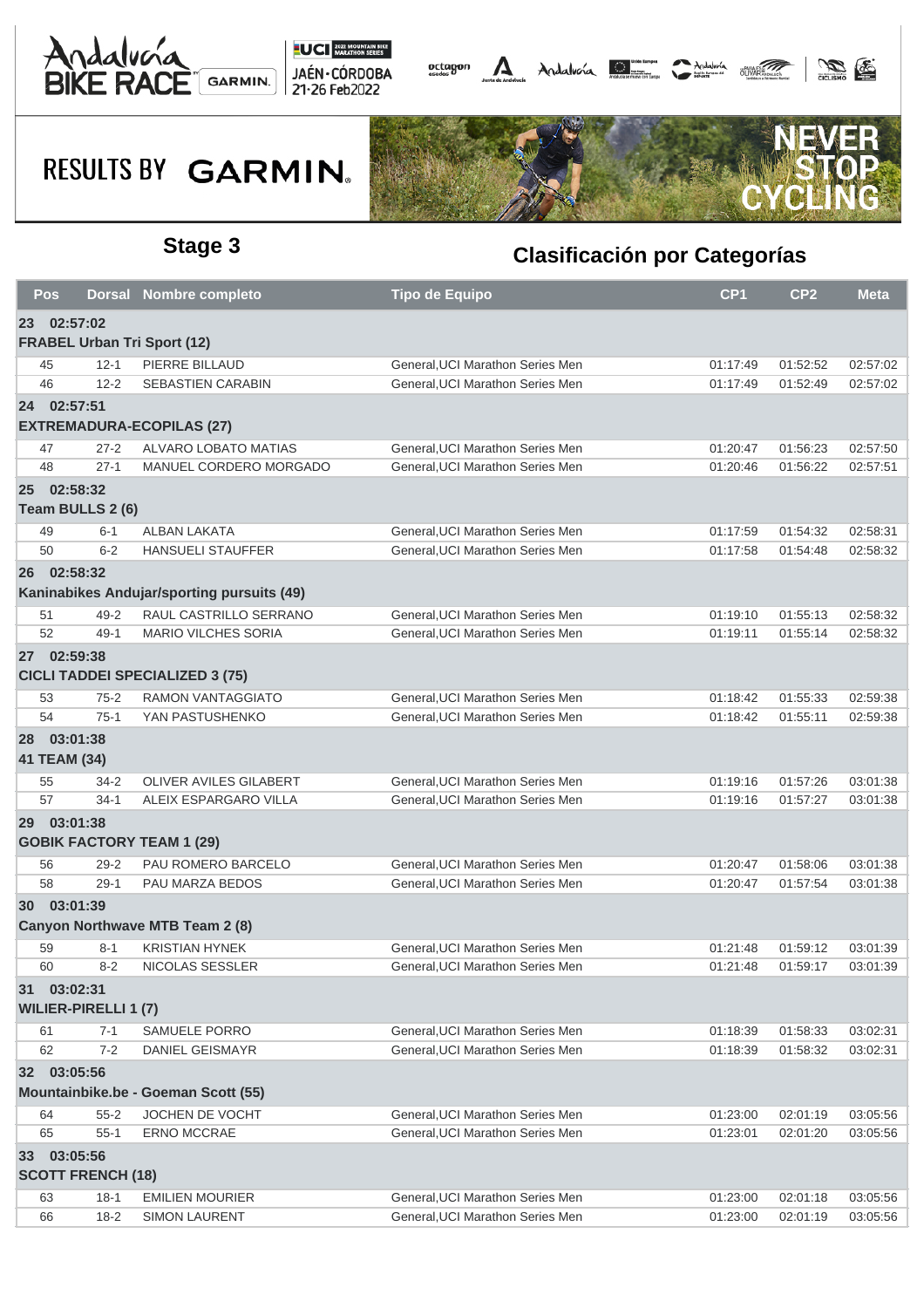





| Pos          |                             | <b>Dorsal Nombre completo</b>              | <b>Tipo de Equipo</b>            | CP <sub>1</sub> | CP <sub>2</sub> | <b>Meta</b> |
|--------------|-----------------------------|--------------------------------------------|----------------------------------|-----------------|-----------------|-------------|
| 23 02:57:02  |                             |                                            |                                  |                 |                 |             |
|              |                             | <b>FRABEL Urban Tri Sport (12)</b>         |                                  |                 |                 |             |
| 45           | $12 - 1$                    | PIERRE BILLAUD                             | General, UCI Marathon Series Men | 01:17:49        | 01:52:52        | 02:57:02    |
| 46           | $12 - 2$                    | <b>SEBASTIEN CARABIN</b>                   | General, UCI Marathon Series Men | 01:17:49        | 01:52:49        | 02:57:02    |
| 24 02:57:51  |                             |                                            |                                  |                 |                 |             |
|              |                             | <b>EXTREMADURA-ECOPILAS (27)</b>           |                                  |                 |                 |             |
| 47           | $27 - 2$                    | ALVARO LOBATO MATIAS                       | General, UCI Marathon Series Men | 01:20:47        | 01:56:23        | 02:57:50    |
| 48           | $27 - 1$                    | MANUEL CORDERO MORGADO                     | General, UCI Marathon Series Men | 01:20:46        | 01:56:22        | 02:57:51    |
| 25 02:58:32  |                             |                                            |                                  |                 |                 |             |
|              | Team BULLS 2 (6)            |                                            |                                  |                 |                 |             |
| 49           | $6 - 1$                     | ALBAN LAKATA                               | General, UCI Marathon Series Men | 01:17:59        | 01:54:32        | 02:58:31    |
| 50           | $6 - 2$                     | <b>HANSUELI STAUFFER</b>                   | General, UCI Marathon Series Men | 01:17:58        | 01:54:48        | 02:58:32    |
| 26 02:58:32  |                             |                                            |                                  |                 |                 |             |
|              |                             | Kaninabikes Andujar/sporting pursuits (49) |                                  |                 |                 |             |
| 51           | $49 - 2$                    | RAUL CASTRILLO SERRANO                     | General, UCI Marathon Series Men | 01:19:10        | 01:55:13        | 02:58:32    |
| 52           | $49-1$                      | <b>MARIO VILCHES SORIA</b>                 | General, UCI Marathon Series Men | 01:19:11        | 01:55:14        | 02:58:32    |
| 27 02:59:38  |                             |                                            |                                  |                 |                 |             |
|              |                             | <b>CICLI TADDEI SPECIALIZED 3 (75)</b>     |                                  |                 |                 |             |
| 53           | $75 - 2$                    | RAMON VANTAGGIATO                          | General, UCI Marathon Series Men | 01:18:42        | 01:55:33        | 02:59:38    |
| 54           | $75-1$                      | YAN PASTUSHENKO                            | General, UCI Marathon Series Men | 01:18:42        | 01:55:11        | 02:59:38    |
| 28 03:01:38  |                             |                                            |                                  |                 |                 |             |
| 41 TEAM (34) |                             |                                            |                                  |                 |                 |             |
| 55           | 34-2                        | OLIVER AVILES GILABERT                     | General, UCI Marathon Series Men | 01:19:16        | 01:57:26        | 03:01:38    |
| 57           | $34-1$                      | ALEIX ESPARGARO VILLA                      | General, UCI Marathon Series Men | 01:19:16        | 01:57:27        | 03:01:38    |
| 29 03:01:38  |                             |                                            |                                  |                 |                 |             |
|              |                             | <b>GOBIK FACTORY TEAM 1 (29)</b>           |                                  |                 |                 |             |
| 56           | $29 - 2$                    | PAU ROMERO BARCELO                         | General, UCI Marathon Series Men | 01:20:47        | 01:58:06        | 03:01:38    |
| 58           | $29-1$                      | PAU MARZA BEDOS                            | General, UCI Marathon Series Men | 01:20:47        | 01:57:54        | 03:01:38    |
| 30 03:01:39  |                             |                                            |                                  |                 |                 |             |
|              |                             | Canyon Northwave MTB Team 2 (8)            |                                  |                 |                 |             |
| 59           | $8 - 1$                     | <b>KRISTIAN HYNEK</b>                      | General, UCI Marathon Series Men | 01:21:48        | 01:59:12        | 03:01:39    |
| 60           | $8 - 2$                     | NICOLAS SESSLER                            | General, UCI Marathon Series Men | 01:21:48        | 01:59:17        | 03:01:39    |
| 31 03:02:31  |                             |                                            |                                  |                 |                 |             |
|              | <b>WILIER-PIRELLI 1 (7)</b> |                                            |                                  |                 |                 |             |
| 61           | $7 - 1$                     | SAMUELE PORRO                              | General, UCI Marathon Series Men | 01:18:39        | 01:58:33        | 03:02:31    |
| 62           | $7 - 2$                     | DANIEL GEISMAYR                            | General, UCI Marathon Series Men | 01:18:39        | 01:58:32        | 03:02:31    |
| 32 03:05:56  |                             |                                            |                                  |                 |                 |             |
|              |                             | Mountainbike.be - Goeman Scott (55)        |                                  |                 |                 |             |
| 64           | $55 - 2$                    | JOCHEN DE VOCHT                            | General, UCI Marathon Series Men | 01:23:00        | 02:01:19        | 03:05:56    |
| 65           | $55-1$                      | ERNO MCCRAE                                | General, UCI Marathon Series Men | 01:23:01        | 02:01:20        | 03:05:56    |
| 33 03:05:56  |                             |                                            |                                  |                 |                 |             |
|              | <b>SCOTT FRENCH (18)</b>    |                                            |                                  |                 |                 |             |
| 63           | $18-1$                      | <b>EMILIEN MOURIER</b>                     | General, UCI Marathon Series Men | 01:23:00        | 02:01:18        | 03:05:56    |
| 66           | $18 - 2$                    | <b>SIMON LAURENT</b>                       | General, UCI Marathon Series Men | 01:23:00        | 02:01:19        | 03:05:56    |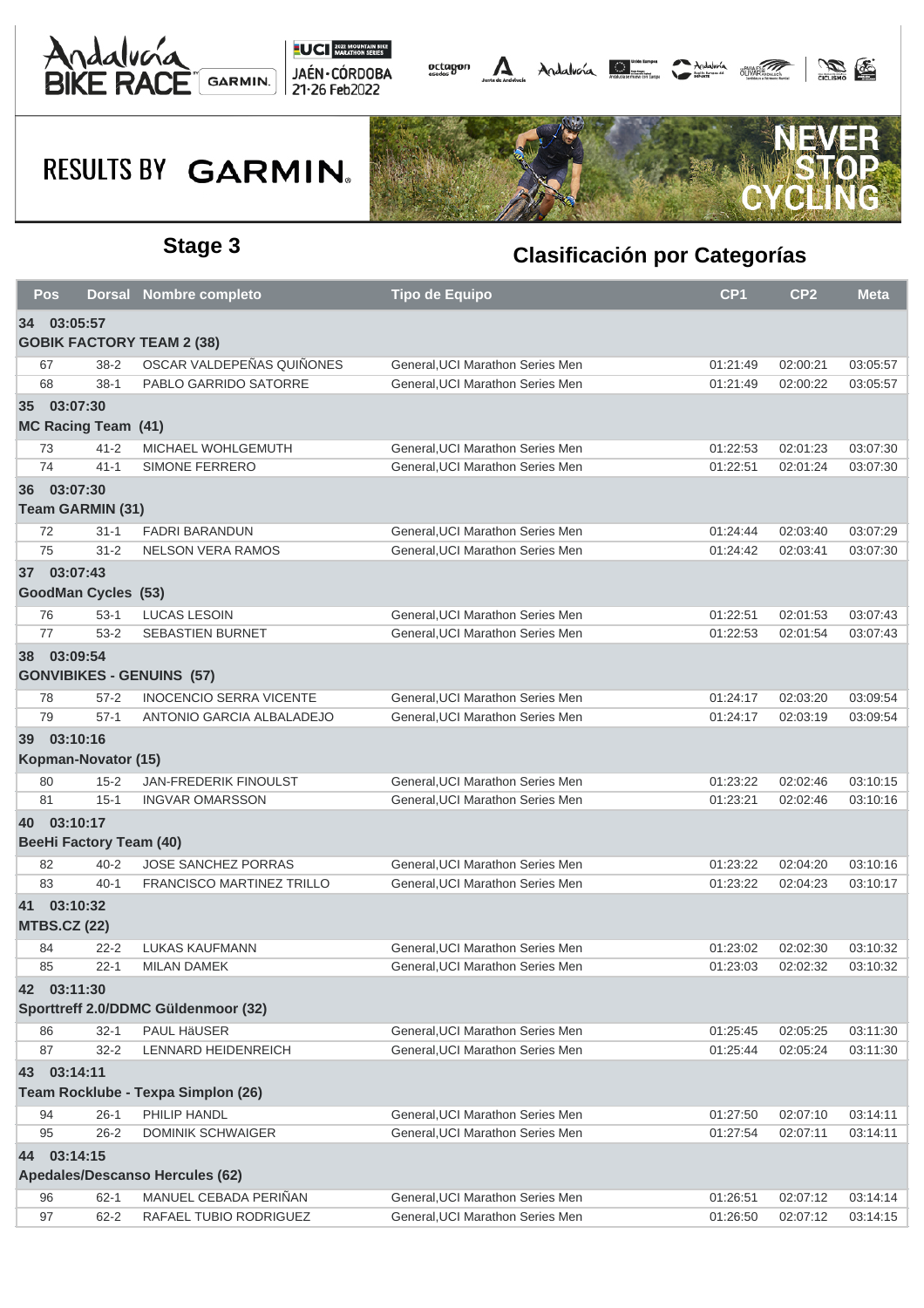





| Pos |                                    | <b>Dorsal Nombre completo</b>       | Tipo de Equipo                                                      | CP <sub>1</sub> | CP <sub>2</sub> | <b>Meta</b> |  |  |  |  |
|-----|------------------------------------|-------------------------------------|---------------------------------------------------------------------|-----------------|-----------------|-------------|--|--|--|--|
|     | 34 03:05:57                        |                                     |                                                                     |                 |                 |             |  |  |  |  |
|     | <b>GOBIK FACTORY TEAM 2 (38)</b>   |                                     |                                                                     |                 |                 |             |  |  |  |  |
| 67  | $38 - 2$                           | OSCAR VALDEPEÑAS QUIÑONES           | General, UCI Marathon Series Men                                    | 01:21:49        | 02:00:21        | 03:05:57    |  |  |  |  |
| 68  | $38-1$                             | PABLO GARRIDO SATORRE               | General, UCI Marathon Series Men                                    | 01:21:49        | 02:00:22        | 03:05:57    |  |  |  |  |
|     | 35 03:07:30                        |                                     |                                                                     |                 |                 |             |  |  |  |  |
|     | <b>MC Racing Team (41)</b>         |                                     |                                                                     |                 |                 |             |  |  |  |  |
| 73  | $41 - 2$                           | MICHAEL WOHLGEMUTH                  | General, UCI Marathon Series Men                                    | 01:22:53        | 02:01:23        | 03:07:30    |  |  |  |  |
| 74  | $41 - 1$                           | SIMONE FERRERO                      | General, UCI Marathon Series Men                                    | 01:22:51        | 02:01:24        | 03:07:30    |  |  |  |  |
|     | 36 03:07:30                        |                                     |                                                                     |                 |                 |             |  |  |  |  |
|     | <b>Team GARMIN (31)</b>            |                                     |                                                                     |                 |                 |             |  |  |  |  |
| 72  | $31 - 1$                           | <b>FADRI BARANDUN</b>               | General, UCI Marathon Series Men                                    | 01:24:44        | 02:03:40        | 03:07:29    |  |  |  |  |
| 75  | $31 - 2$                           | <b>NELSON VERA RAMOS</b>            | General, UCI Marathon Series Men                                    | 01:24:42        | 02:03:41        | 03:07:30    |  |  |  |  |
|     | 37 03:07:43                        |                                     |                                                                     |                 |                 |             |  |  |  |  |
|     | <b>GoodMan Cycles (53)</b>         |                                     |                                                                     |                 |                 |             |  |  |  |  |
| 76  | $53-1$                             | <b>LUCAS LESOIN</b>                 | General, UCI Marathon Series Men                                    | 01:22:51        | 02:01:53        | 03:07:43    |  |  |  |  |
| 77  | $53-2$                             | <b>SEBASTIEN BURNET</b>             | General, UCI Marathon Series Men                                    | 01:22:53        | 02:01:54        | 03:07:43    |  |  |  |  |
|     | 38 03:09:54                        |                                     |                                                                     |                 |                 |             |  |  |  |  |
|     |                                    | <b>GONVIBIKES - GENUINS (57)</b>    |                                                                     |                 |                 |             |  |  |  |  |
| 78  | $57 - 2$                           | <b>INOCENCIO SERRA VICENTE</b>      | General, UCI Marathon Series Men                                    | 01:24:17        | 02:03:20        | 03:09:54    |  |  |  |  |
| 79  | $57-1$                             | ANTONIO GARCIA ALBALADEJO           | General, UCI Marathon Series Men                                    | 01:24:17        | 02:03:19        | 03:09:54    |  |  |  |  |
|     | 39 03:10:16                        |                                     |                                                                     |                 |                 |             |  |  |  |  |
|     | Kopman-Novator (15)                |                                     |                                                                     |                 |                 |             |  |  |  |  |
| 80  | $15 - 2$                           | JAN-FREDERIK FINOULST               | General, UCI Marathon Series Men                                    | 01:23:22        | 02:02:46        | 03:10:15    |  |  |  |  |
| 81  | $15 - 1$                           | <b>INGVAR OMARSSON</b>              | General, UCI Marathon Series Men                                    | 01:23:21        | 02:02:46        | 03:10:16    |  |  |  |  |
|     | 40 03:10:17                        |                                     |                                                                     |                 |                 |             |  |  |  |  |
|     | <b>BeeHi Factory Team (40)</b>     |                                     |                                                                     |                 |                 |             |  |  |  |  |
| 82  | $40 - 2$                           | <b>JOSE SANCHEZ PORRAS</b>          | General, UCI Marathon Series Men                                    | 01:23:22        | 02:04:20        | 03:10:16    |  |  |  |  |
| 83  | $40 - 1$                           | <b>FRANCISCO MARTINEZ TRILLO</b>    | General, UCI Marathon Series Men                                    | 01:23:22        | 02:04:23        | 03:10:17    |  |  |  |  |
|     | 41 03:10:32<br><b>MTBS.CZ (22)</b> |                                     |                                                                     |                 |                 |             |  |  |  |  |
| 84  | $22 - 2$                           | <b>LUKAS KAUFMANN</b>               | General, UCI Marathon Series Men                                    | 01:23:02        | 02:02:30        | 03:10:32    |  |  |  |  |
| 85  | $22 - 1$                           | <b>MILAN DAMEK</b>                  | General, UCI Marathon Series Men                                    | 01:23:03        | 02:02:32        | 03:10:32    |  |  |  |  |
|     | 42 03:11:30                        |                                     |                                                                     |                 |                 |             |  |  |  |  |
|     |                                    | Sporttreff 2.0/DDMC Güldenmoor (32) |                                                                     |                 |                 |             |  |  |  |  |
|     |                                    |                                     |                                                                     |                 |                 |             |  |  |  |  |
| 86  | $32 - 1$                           | PAUL HäUSER                         | General, UCI Marathon Series Men<br>General.UCI Marathon Series Men | 01:25:45        | 02:05:25        | 03:11:30    |  |  |  |  |
| 87  | $32 - 2$                           | LENNARD HEIDENREICH                 |                                                                     | 01:25:44        | 02:05:24        | 03:11:30    |  |  |  |  |
|     | 43 03:14:11                        |                                     |                                                                     |                 |                 |             |  |  |  |  |
|     |                                    | Team Rocklube - Texpa Simplon (26)  |                                                                     |                 |                 |             |  |  |  |  |
| 94  | $26-1$                             | PHILIP HANDL                        | General, UCI Marathon Series Men                                    | 01:27:50        | 02:07:10        | 03:14:11    |  |  |  |  |
| 95  | $26 - 2$                           | <b>DOMINIK SCHWAIGER</b>            | General, UCI Marathon Series Men                                    | 01:27:54        | 02:07:11        | 03:14:11    |  |  |  |  |
|     | 44 03:14:15                        |                                     |                                                                     |                 |                 |             |  |  |  |  |
|     |                                    | Apedales/Descanso Hercules (62)     |                                                                     |                 |                 |             |  |  |  |  |
| 96  | $62 - 1$                           | MANUEL CEBADA PERIÑAN               | General, UCI Marathon Series Men                                    | 01:26:51        | 02:07:12        | 03:14:14    |  |  |  |  |
| 97  | $62 - 2$                           | RAFAEL TUBIO RODRIGUEZ              | General, UCI Marathon Series Men                                    | 01:26:50        | 02:07:12        | 03:14:15    |  |  |  |  |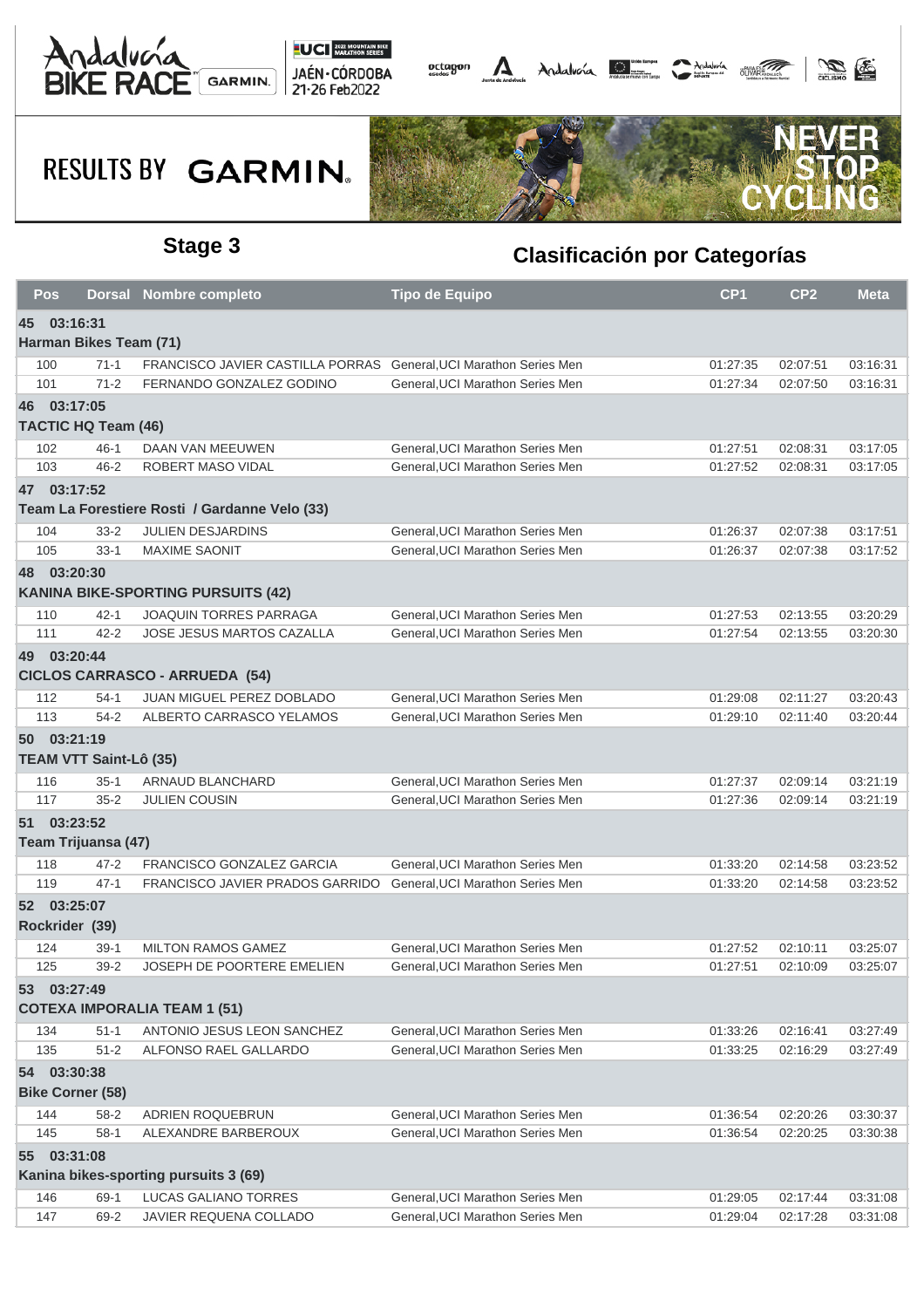





| Pos                     |                               | Dorsal Nombre completo                        | <b>Tipo de Equipo</b>            | CP <sub>1</sub> | CP <sub>2</sub> | <b>Meta</b> |  |  |
|-------------------------|-------------------------------|-----------------------------------------------|----------------------------------|-----------------|-----------------|-------------|--|--|
| 45 03:16:31             |                               |                                               |                                  |                 |                 |             |  |  |
|                         | Harman Bikes Team (71)        |                                               |                                  |                 |                 |             |  |  |
| 100                     | $71-1$                        | FRANCISCO JAVIER CASTILLA PORRAS              | General, UCI Marathon Series Men | 01:27:35        | 02:07:51        | 03:16:31    |  |  |
| 101                     | $71 - 2$                      | FERNANDO GONZALEZ GODINO                      | General, UCI Marathon Series Men | 01:27:34        | 02:07:50        | 03:16:31    |  |  |
| 46 03:17:05             |                               |                                               |                                  |                 |                 |             |  |  |
|                         | <b>TACTIC HQ Team (46)</b>    |                                               |                                  |                 |                 |             |  |  |
| 102                     | $46 - 1$                      | DAAN VAN MEEUWEN                              | General, UCI Marathon Series Men | 01:27:51        | 02:08:31        | 03:17:05    |  |  |
| 103                     | $46 - 2$                      | ROBERT MASO VIDAL                             | General, UCI Marathon Series Men | 01:27:52        | 02:08:31        | 03:17:05    |  |  |
| 47 03:17:52             |                               |                                               |                                  |                 |                 |             |  |  |
|                         |                               | Team La Forestiere Rosti / Gardanne Velo (33) |                                  |                 |                 |             |  |  |
| 104                     | $33 - 2$                      | <b>JULIEN DESJARDINS</b>                      | General, UCI Marathon Series Men | 01:26:37        | 02:07:38        | 03:17:51    |  |  |
| 105                     | $33-1$                        | <b>MAXIME SAONIT</b>                          | General, UCI Marathon Series Men | 01:26:37        | 02:07:38        | 03:17:52    |  |  |
| 48 03:20:30             |                               |                                               |                                  |                 |                 |             |  |  |
|                         |                               | <b>KANINA BIKE-SPORTING PURSUITS (42)</b>     |                                  |                 |                 |             |  |  |
| 110                     | $42 - 1$                      | <b>JOAQUIN TORRES PARRAGA</b>                 | General, UCI Marathon Series Men | 01:27:53        | 02:13:55        | 03:20:29    |  |  |
| 111                     | $42 - 2$                      | JOSE JESUS MARTOS CAZALLA                     | General, UCI Marathon Series Men | 01:27:54        | 02:13:55        | 03:20:30    |  |  |
| 49 03:20:44             |                               |                                               |                                  |                 |                 |             |  |  |
|                         |                               | <b>CICLOS CARRASCO - ARRUEDA (54)</b>         |                                  |                 |                 |             |  |  |
| 112                     | $54-1$                        | JUAN MIGUEL PEREZ DOBLADO                     | General, UCI Marathon Series Men | 01:29:08        | 02:11:27        | 03:20:43    |  |  |
| 113                     | $54-2$                        | ALBERTO CARRASCO YELAMOS                      | General, UCI Marathon Series Men | 01:29:10        | 02:11:40        | 03:20:44    |  |  |
| 50 03:21:19             |                               |                                               |                                  |                 |                 |             |  |  |
|                         | <b>TEAM VTT Saint-Lô (35)</b> |                                               |                                  |                 |                 |             |  |  |
| 116                     | $35-1$                        | ARNAUD BLANCHARD                              | General, UCI Marathon Series Men | 01:27:37        | 02:09:14        | 03:21:19    |  |  |
| 117                     | $35 - 2$                      | <b>JULIEN COUSIN</b>                          | General, UCI Marathon Series Men | 01:27:36        | 02:09:14        | 03:21:19    |  |  |
| 51 03:23:52             |                               |                                               |                                  |                 |                 |             |  |  |
|                         | Team Trijuansa (47)           |                                               |                                  |                 |                 |             |  |  |
| 118                     | $47 - 2$                      | FRANCISCO GONZALEZ GARCIA                     | General, UCI Marathon Series Men | 01:33:20        | 02:14:58        | 03:23:52    |  |  |
| 119                     | $47 - 1$                      | FRANCISCO JAVIER PRADOS GARRIDO               | General.UCI Marathon Series Men  | 01:33:20        | 02:14:58        | 03:23:52    |  |  |
| 52 03:25:07             |                               |                                               |                                  |                 |                 |             |  |  |
|                         |                               |                                               |                                  |                 |                 |             |  |  |
| Rockrider (39)          |                               |                                               |                                  |                 |                 |             |  |  |
| 124                     | $39-1$                        | <b>MILTON RAMOS GAMEZ</b>                     | General, UCI Marathon Series Men | 01:27:52        | 02:10:11        | 03:25:07    |  |  |
| 125                     | $39 - 2$                      | JOSEPH DE POORTERE EMELIEN                    | General. UCI Marathon Series Men | 01:27:51        | 02:10:09        | 03:25:07    |  |  |
| 53 03:27:49             |                               |                                               |                                  |                 |                 |             |  |  |
|                         |                               | <b>COTEXA IMPORALIA TEAM 1 (51)</b>           |                                  |                 |                 |             |  |  |
| 134                     | $51 - 1$                      | ANTONIO JESUS LEON SANCHEZ                    | General, UCI Marathon Series Men | 01:33:26        | 02:16:41        | 03:27:49    |  |  |
| 135                     | $51 - 2$                      | ALFONSO RAEL GALLARDO                         | General, UCI Marathon Series Men | 01:33:25        | 02:16:29        | 03:27:49    |  |  |
| 54 03:30:38             |                               |                                               |                                  |                 |                 |             |  |  |
| <b>Bike Corner (58)</b> |                               |                                               |                                  |                 |                 |             |  |  |
| 144                     | $58 - 2$                      | ADRIEN ROQUEBRUN                              | General, UCI Marathon Series Men | 01:36:54        | 02:20:26        | 03:30:37    |  |  |
| 145                     | $58-1$                        | ALEXANDRE BARBEROUX                           | General, UCI Marathon Series Men | 01:36:54        | 02:20:25        | 03:30:38    |  |  |
| 55 03:31:08             |                               |                                               |                                  |                 |                 |             |  |  |
|                         |                               | Kanina bikes-sporting pursuits 3 (69)         |                                  |                 |                 |             |  |  |
| 146                     | $69-1$                        | <b>LUCAS GALIANO TORRES</b>                   | General, UCI Marathon Series Men | 01:29:05        | 02:17:44        | 03:31:08    |  |  |
| 147                     | 69-2                          | JAVIER REQUENA COLLADO                        | General, UCI Marathon Series Men | 01:29:04        | 02:17:28        | 03:31:08    |  |  |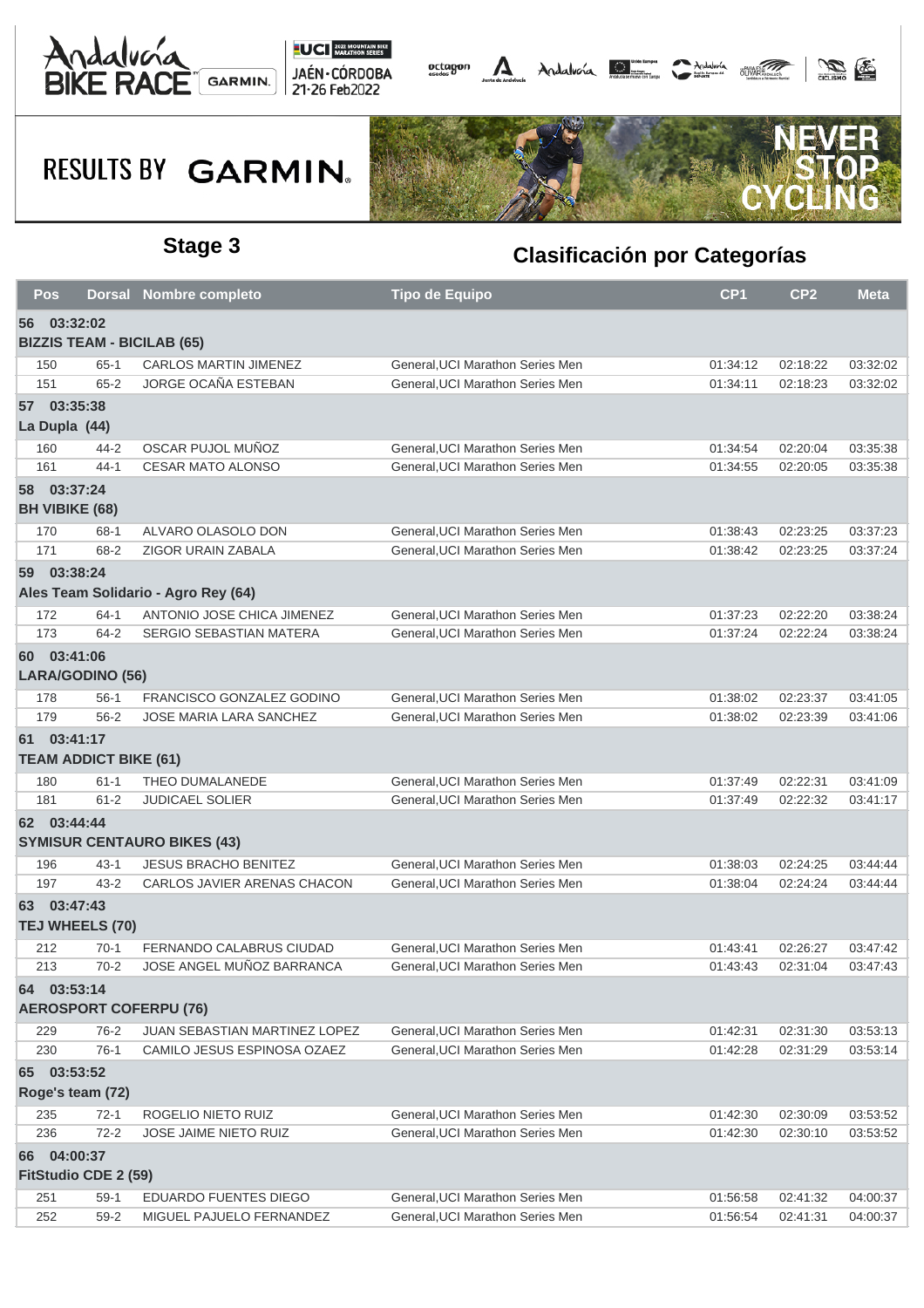





| <b>Pos</b>                                       |                                              | <b>Dorsal Nombre completo</b>        | Tipo de Equipo                   | CP <sub>1</sub> | CP <sub>2</sub> | <b>Meta</b> |  |  |  |
|--------------------------------------------------|----------------------------------------------|--------------------------------------|----------------------------------|-----------------|-----------------|-------------|--|--|--|
| 56 03:32:02<br><b>BIZZIS TEAM - BICILAB (65)</b> |                                              |                                      |                                  |                 |                 |             |  |  |  |
| 150                                              | $65 - 1$                                     | <b>CARLOS MARTIN JIMENEZ</b>         | General, UCI Marathon Series Men | 01:34:12        | 02:18:22        | 03:32:02    |  |  |  |
| 151                                              | $65 - 2$                                     | <b>JORGE OCAÑA ESTEBAN</b>           | General.UCI Marathon Series Men  | 01:34:11        | 02:18:23        | 03:32:02    |  |  |  |
|                                                  | 57 03:35:38                                  |                                      |                                  |                 |                 |             |  |  |  |
|                                                  | La Dupla (44)                                |                                      |                                  |                 |                 |             |  |  |  |
| 160                                              | 44-2                                         | OSCAR PUJOL MUÑOZ                    | General, UCI Marathon Series Men | 01:34:54        | 02:20:04        | 03:35:38    |  |  |  |
| 161                                              | $44 - 1$                                     | <b>CESAR MATO ALONSO</b>             | General, UCI Marathon Series Men | 01:34:55        | 02:20:05        | 03:35:38    |  |  |  |
|                                                  | 58 03:37:24                                  |                                      |                                  |                 |                 |             |  |  |  |
|                                                  | <b>BH VIBIKE (68)</b>                        |                                      |                                  |                 |                 |             |  |  |  |
| 170                                              | 68-1                                         | ALVARO OLASOLO DON                   | General, UCI Marathon Series Men | 01:38:43        | 02:23:25        | 03:37:23    |  |  |  |
| 171                                              | 68-2                                         | ZIGOR URAIN ZABALA                   | General, UCI Marathon Series Men | 01:38:42        | 02:23:25        | 03:37:24    |  |  |  |
|                                                  | 59 03:38:24                                  |                                      |                                  |                 |                 |             |  |  |  |
|                                                  |                                              | Ales Team Solidario - Agro Rey (64)  |                                  |                 |                 |             |  |  |  |
| 172                                              | $64-1$                                       | ANTONIO JOSE CHICA JIMENEZ           | General, UCI Marathon Series Men | 01:37:23        | 02:22:20        | 03:38:24    |  |  |  |
| 173                                              | $64 - 2$                                     | SERGIO SEBASTIAN MATERA              | General, UCI Marathon Series Men | 01:37:24        | 02:22:24        | 03:38:24    |  |  |  |
|                                                  | 60 03:41:06<br>LARA/GODINO (56)              |                                      |                                  |                 |                 |             |  |  |  |
| 178                                              | $56-1$                                       | FRANCISCO GONZALEZ GODINO            | General, UCI Marathon Series Men | 01:38:02        | 02:23:37        | 03:41:05    |  |  |  |
| 179                                              | $56 - 2$                                     | JOSE MARIA LARA SANCHEZ              | General, UCI Marathon Series Men | 01:38:02        | 02:23:39        | 03:41:06    |  |  |  |
|                                                  | 61 03:41:17<br><b>TEAM ADDICT BIKE (61)</b>  |                                      |                                  |                 |                 |             |  |  |  |
| 180                                              | $61 - 1$                                     | THEO DUMALANEDE                      | General, UCI Marathon Series Men | 01:37:49        | 02:22:31        | 03:41:09    |  |  |  |
| 181                                              | $61 - 2$                                     | <b>JUDICAEL SOLIER</b>               | General, UCI Marathon Series Men | 01:37:49        | 02:22:32        | 03:41:17    |  |  |  |
|                                                  | 62 03:44:44                                  | <b>SYMISUR CENTAURO BIKES (43)</b>   |                                  |                 |                 |             |  |  |  |
| 196                                              | $43 - 1$                                     | <b>JESUS BRACHO BENITEZ</b>          | General, UCI Marathon Series Men | 01:38:03        | 02:24:25        | 03:44:44    |  |  |  |
| 197                                              | $43 - 2$                                     | CARLOS JAVIER ARENAS CHACON          | General, UCI Marathon Series Men | 01:38:04        | 02:24:24        | 03:44:44    |  |  |  |
|                                                  | 63 03:47:43<br>TEJ WHEELS (70)               |                                      |                                  |                 |                 |             |  |  |  |
| 212                                              | $70-1$                                       | FERNANDO CALABRUS CIUDAD             | General, UCI Marathon Series Men | 01:43:41        | 02:26:27        | 03:47:42    |  |  |  |
| 213                                              | $70-2$                                       | JOSE ANGEL MUÑOZ BARRANCA            | General. UCI Marathon Series Men | 01:43:43        | 02:31:04        | 03:47:43    |  |  |  |
|                                                  | 64 03:53:14<br><b>AEROSPORT COFERPU (76)</b> |                                      |                                  |                 |                 |             |  |  |  |
| 229                                              | 76-2                                         | <b>JUAN SEBASTIAN MARTINEZ LOPEZ</b> | General, UCI Marathon Series Men | 01:42:31        | 02:31:30        | 03:53:13    |  |  |  |
| 230                                              | $76-1$                                       | CAMILO JESUS ESPINOSA OZAEZ          | General, UCI Marathon Series Men | 01:42:28        | 02:31:29        | 03:53:14    |  |  |  |
|                                                  | 65 03:53:52<br>Roge's team (72)              |                                      |                                  |                 |                 |             |  |  |  |
| 235                                              | $72-1$                                       | ROGELIO NIETO RUIZ                   | General, UCI Marathon Series Men | 01:42:30        | 02:30:09        | 03:53:52    |  |  |  |
| 236                                              | $72 - 2$                                     | JOSE JAIME NIETO RUIZ                | General, UCI Marathon Series Men | 01:42:30        | 02:30:10        | 03:53:52    |  |  |  |
|                                                  | 66 04:00:37<br>FitStudio CDE 2 (59)          |                                      |                                  |                 |                 |             |  |  |  |
| 251                                              | $59-1$                                       | EDUARDO FUENTES DIEGO                | General, UCI Marathon Series Men | 01:56:58        | 02:41:32        | 04:00:37    |  |  |  |
| 252                                              | $59-2$                                       | MIGUEL PAJUELO FERNANDEZ             | General, UCI Marathon Series Men | 01:56:54        | 02:41:31        | 04:00:37    |  |  |  |